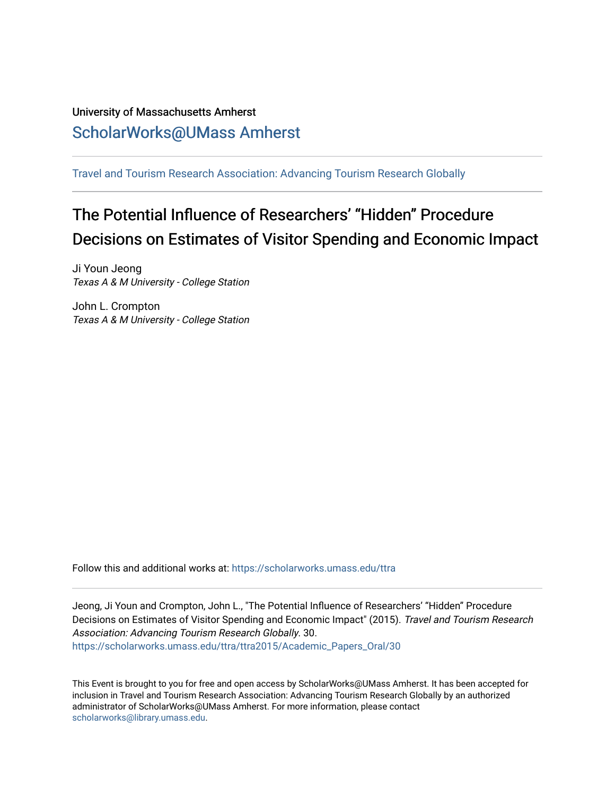# University of Massachusetts Amherst [ScholarWorks@UMass Amherst](https://scholarworks.umass.edu/)

[Travel and Tourism Research Association: Advancing Tourism Research Globally](https://scholarworks.umass.edu/ttra) 

# The Potential Influence of Researchers' "Hidden" Procedure Decisions on Estimates of Visitor Spending and Economic Impact

Ji Youn Jeong Texas A & M University - College Station

John L. Crompton Texas A & M University - College Station

Follow this and additional works at: [https://scholarworks.umass.edu/ttra](https://scholarworks.umass.edu/ttra?utm_source=scholarworks.umass.edu%2Fttra%2Fttra2015%2FAcademic_Papers_Oral%2F30&utm_medium=PDF&utm_campaign=PDFCoverPages)

Jeong, Ji Youn and Crompton, John L., "The Potential Influence of Researchers' "Hidden" Procedure Decisions on Estimates of Visitor Spending and Economic Impact" (2015). Travel and Tourism Research Association: Advancing Tourism Research Globally. 30. [https://scholarworks.umass.edu/ttra/ttra2015/Academic\\_Papers\\_Oral/30](https://scholarworks.umass.edu/ttra/ttra2015/Academic_Papers_Oral/30?utm_source=scholarworks.umass.edu%2Fttra%2Fttra2015%2FAcademic_Papers_Oral%2F30&utm_medium=PDF&utm_campaign=PDFCoverPages)

This Event is brought to you for free and open access by ScholarWorks@UMass Amherst. It has been accepted for inclusion in Travel and Tourism Research Association: Advancing Tourism Research Globally by an authorized administrator of ScholarWorks@UMass Amherst. For more information, please contact [scholarworks@library.umass.edu.](mailto:scholarworks@library.umass.edu)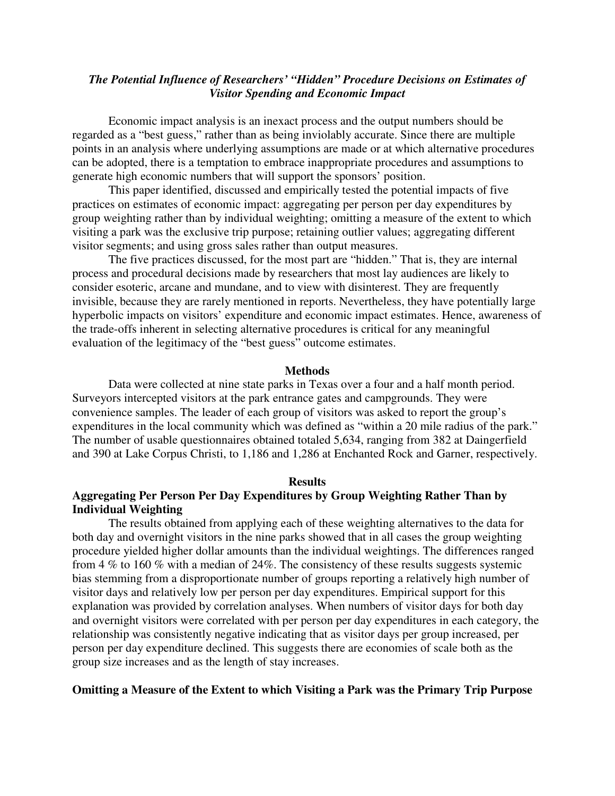# *The Potential Influence of Researchers' "Hidden" Procedure Decisions on Estimates of Visitor Spending and Economic Impact*

Economic impact analysis is an inexact process and the output numbers should be regarded as a "best guess," rather than as being inviolably accurate. Since there are multiple points in an analysis where underlying assumptions are made or at which alternative procedures can be adopted, there is a temptation to embrace inappropriate procedures and assumptions to generate high economic numbers that will support the sponsors' position.

 This paper identified, discussed and empirically tested the potential impacts of five practices on estimates of economic impact: aggregating per person per day expenditures by group weighting rather than by individual weighting; omitting a measure of the extent to which visiting a park was the exclusive trip purpose; retaining outlier values; aggregating different visitor segments; and using gross sales rather than output measures.

The five practices discussed, for the most part are "hidden." That is, they are internal process and procedural decisions made by researchers that most lay audiences are likely to consider esoteric, arcane and mundane, and to view with disinterest. They are frequently invisible, because they are rarely mentioned in reports. Nevertheless, they have potentially large hyperbolic impacts on visitors' expenditure and economic impact estimates. Hence, awareness of the trade-offs inherent in selecting alternative procedures is critical for any meaningful evaluation of the legitimacy of the "best guess" outcome estimates.

#### **Methods**

 Data were collected at nine state parks in Texas over a four and a half month period. Surveyors intercepted visitors at the park entrance gates and campgrounds. They were convenience samples. The leader of each group of visitors was asked to report the group's expenditures in the local community which was defined as "within a 20 mile radius of the park." The number of usable questionnaires obtained totaled 5,634, ranging from 382 at Daingerfield and 390 at Lake Corpus Christi, to 1,186 and 1,286 at Enchanted Rock and Garner, respectively.

## **Results**

# **Aggregating Per Person Per Day Expenditures by Group Weighting Rather Than by Individual Weighting**

 The results obtained from applying each of these weighting alternatives to the data for both day and overnight visitors in the nine parks showed that in all cases the group weighting procedure yielded higher dollar amounts than the individual weightings. The differences ranged from 4 % to 160 % with a median of 24%. The consistency of these results suggests systemic bias stemming from a disproportionate number of groups reporting a relatively high number of visitor days and relatively low per person per day expenditures. Empirical support for this explanation was provided by correlation analyses. When numbers of visitor days for both day and overnight visitors were correlated with per person per day expenditures in each category, the relationship was consistently negative indicating that as visitor days per group increased, per person per day expenditure declined. This suggests there are economies of scale both as the group size increases and as the length of stay increases.

# **Omitting a Measure of the Extent to which Visiting a Park was the Primary Trip Purpose**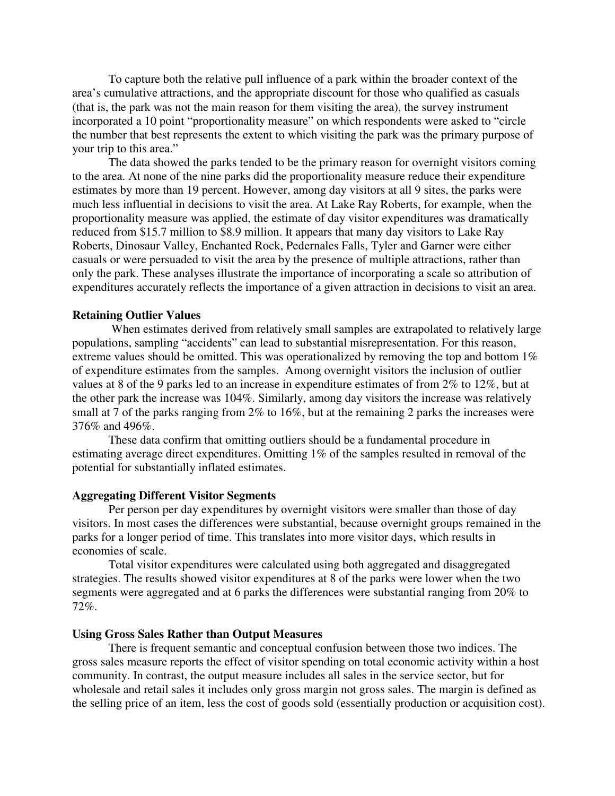To capture both the relative pull influence of a park within the broader context of the area's cumulative attractions, and the appropriate discount for those who qualified as casuals (that is, the park was not the main reason for them visiting the area), the survey instrument incorporated a 10 point "proportionality measure" on which respondents were asked to "circle the number that best represents the extent to which visiting the park was the primary purpose of your trip to this area."

The data showed the parks tended to be the primary reason for overnight visitors coming to the area. At none of the nine parks did the proportionality measure reduce their expenditure estimates by more than 19 percent. However, among day visitors at all 9 sites, the parks were much less influential in decisions to visit the area. At Lake Ray Roberts, for example, when the proportionality measure was applied, the estimate of day visitor expenditures was dramatically reduced from \$15.7 million to \$8.9 million. It appears that many day visitors to Lake Ray Roberts, Dinosaur Valley, Enchanted Rock, Pedernales Falls, Tyler and Garner were either casuals or were persuaded to visit the area by the presence of multiple attractions, rather than only the park. These analyses illustrate the importance of incorporating a scale so attribution of expenditures accurately reflects the importance of a given attraction in decisions to visit an area.

# **Retaining Outlier Values**

 When estimates derived from relatively small samples are extrapolated to relatively large populations, sampling "accidents" can lead to substantial misrepresentation. For this reason, extreme values should be omitted. This was operationalized by removing the top and bottom 1% of expenditure estimates from the samples. Among overnight visitors the inclusion of outlier values at 8 of the 9 parks led to an increase in expenditure estimates of from 2% to 12%, but at the other park the increase was 104%. Similarly, among day visitors the increase was relatively small at 7 of the parks ranging from 2% to 16%, but at the remaining 2 parks the increases were 376% and 496%.

 These data confirm that omitting outliers should be a fundamental procedure in estimating average direct expenditures. Omitting 1% of the samples resulted in removal of the potential for substantially inflated estimates.

# **Aggregating Different Visitor Segments**

 Per person per day expenditures by overnight visitors were smaller than those of day visitors. In most cases the differences were substantial, because overnight groups remained in the parks for a longer period of time. This translates into more visitor days, which results in economies of scale.

 Total visitor expenditures were calculated using both aggregated and disaggregated strategies. The results showed visitor expenditures at 8 of the parks were lower when the two segments were aggregated and at 6 parks the differences were substantial ranging from 20% to 72%.

## **Using Gross Sales Rather than Output Measures**

 There is frequent semantic and conceptual confusion between those two indices. The gross sales measure reports the effect of visitor spending on total economic activity within a host community. In contrast, the output measure includes all sales in the service sector, but for wholesale and retail sales it includes only gross margin not gross sales. The margin is defined as the selling price of an item, less the cost of goods sold (essentially production or acquisition cost).